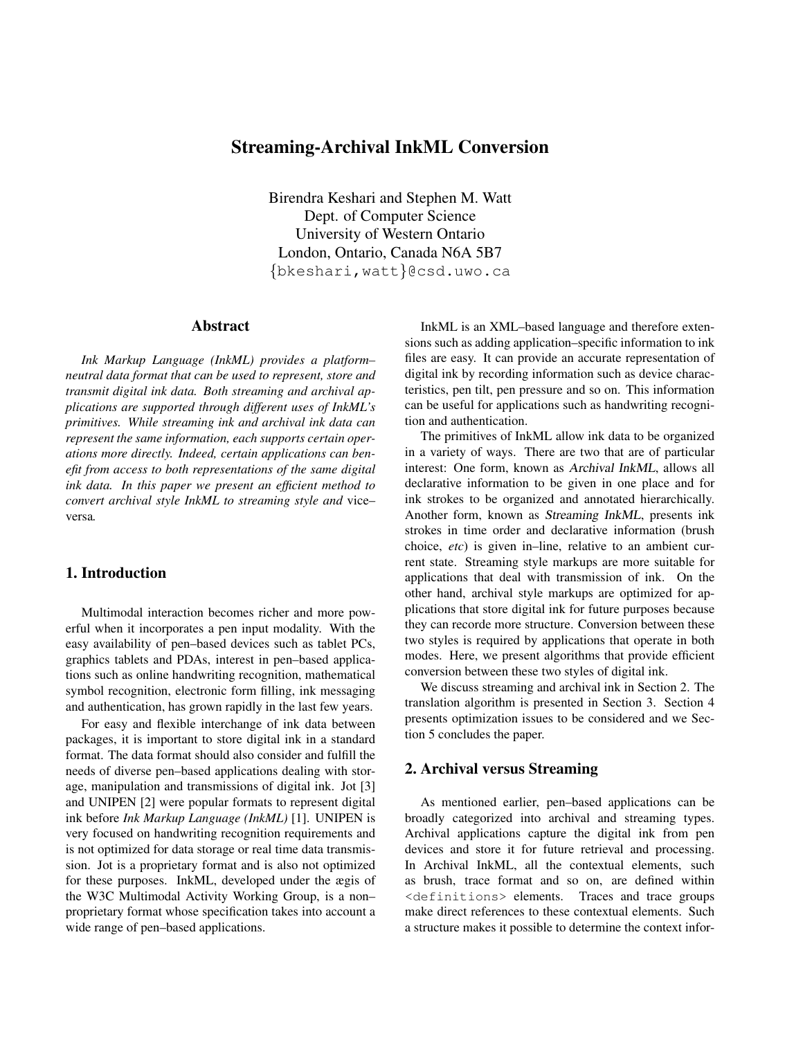# Streaming-Archival InkML Conversion

Birendra Keshari and Stephen M. Watt Dept. of Computer Science University of Western Ontario London, Ontario, Canada N6A 5B7 {bkeshari,watt}@csd.uwo.ca

### Abstract

*Ink Markup Language (InkML) provides a platform– neutral data format that can be used to represent, store and transmit digital ink data. Both streaming and archival applications are supported through different uses of InkML's primitives. While streaming ink and archival ink data can represent the same information, each supports certain operations more directly. Indeed, certain applications can benefit from access to both representations of the same digital ink data. In this paper we present an efficient method to convert archival style InkML to streaming style and* vice– versa*.*

### 1. Introduction

Multimodal interaction becomes richer and more powerful when it incorporates a pen input modality. With the easy availability of pen–based devices such as tablet PCs, graphics tablets and PDAs, interest in pen–based applications such as online handwriting recognition, mathematical symbol recognition, electronic form filling, ink messaging and authentication, has grown rapidly in the last few years.

For easy and flexible interchange of ink data between packages, it is important to store digital ink in a standard format. The data format should also consider and fulfill the needs of diverse pen–based applications dealing with storage, manipulation and transmissions of digital ink. Jot [3] and UNIPEN [2] were popular formats to represent digital ink before *Ink Markup Language (InkML)* [1]. UNIPEN is very focused on handwriting recognition requirements and is not optimized for data storage or real time data transmission. Jot is a proprietary format and is also not optimized for these purposes. InkML, developed under the ægis of the W3C Multimodal Activity Working Group, is a non– proprietary format whose specification takes into account a wide range of pen–based applications.

InkML is an XML–based language and therefore extensions such as adding application–specific information to ink files are easy. It can provide an accurate representation of digital ink by recording information such as device characteristics, pen tilt, pen pressure and so on. This information can be useful for applications such as handwriting recognition and authentication.

The primitives of InkML allow ink data to be organized in a variety of ways. There are two that are of particular interest: One form, known as Archival InkML, allows all declarative information to be given in one place and for ink strokes to be organized and annotated hierarchically. Another form, known as Streaming InkML, presents ink strokes in time order and declarative information (brush choice, *etc*) is given in–line, relative to an ambient current state. Streaming style markups are more suitable for applications that deal with transmission of ink. On the other hand, archival style markups are optimized for applications that store digital ink for future purposes because they can recorde more structure. Conversion between these two styles is required by applications that operate in both modes. Here, we present algorithms that provide efficient conversion between these two styles of digital ink.

We discuss streaming and archival ink in Section 2. The translation algorithm is presented in Section 3. Section 4 presents optimization issues to be considered and we Section 5 concludes the paper.

#### 2. Archival versus Streaming

As mentioned earlier, pen–based applications can be broadly categorized into archival and streaming types. Archival applications capture the digital ink from pen devices and store it for future retrieval and processing. In Archival InkML, all the contextual elements, such as brush, trace format and so on, are defined within <definitions> elements. Traces and trace groups make direct references to these contextual elements. Such a structure makes it possible to determine the context infor-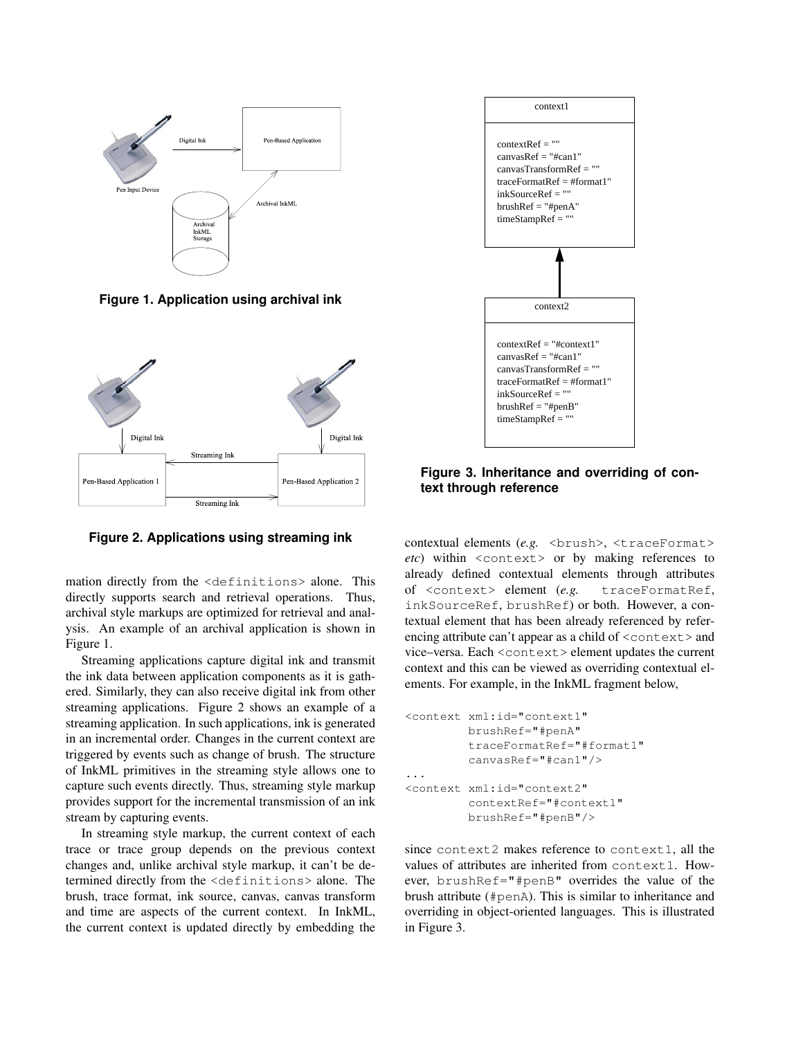

**Figure 1. Application using archival ink**



**Figure 2. Applications using streaming ink**

mation directly from the <definitions> alone. This directly supports search and retrieval operations. Thus, archival style markups are optimized for retrieval and analysis. An example of an archival application is shown in Figure 1.

Streaming applications capture digital ink and transmit the ink data between application components as it is gathered. Similarly, they can also receive digital ink from other streaming applications. Figure 2 shows an example of a streaming application. In such applications, ink is generated in an incremental order. Changes in the current context are triggered by events such as change of brush. The structure of InkML primitives in the streaming style allows one to capture such events directly. Thus, streaming style markup provides support for the incremental transmission of an ink stream by capturing events.

In streaming style markup, the current context of each trace or trace group depends on the previous context changes and, unlike archival style markup, it can't be determined directly from the <definitions> alone. The brush, trace format, ink source, canvas, canvas transform and time are aspects of the current context. In InkML, the current context is updated directly by embedding the



**Figure 3. Inheritance and overriding of context through reference**

contextual elements (e.g. <br />brush>, <traceFormat> *etc*) within <context> or by making references to already defined contextual elements through attributes of <context> element (*e.g.* traceFormatRef, inkSourceRef, brushRef) or both. However, a contextual element that has been already referenced by referencing attribute can't appear as a child of  $\leq$  context  $>$  and vice–versa. Each <context> element updates the current context and this can be viewed as overriding contextual elements. For example, in the InkML fragment below,

```
<context xml:id="context1"
         brushRef="#penA"
         traceFormatRef="#format1"
         canvasRef="#can1"/>
...
<context xml:id="context2"
         contextRef="#context1"
         brushRef="#penB"/>
```
since context2 makes reference to context1, all the values of attributes are inherited from context1. However, brushRef="#penB" overrides the value of the brush attribute (#penA). This is similar to inheritance and overriding in object-oriented languages. This is illustrated in Figure 3.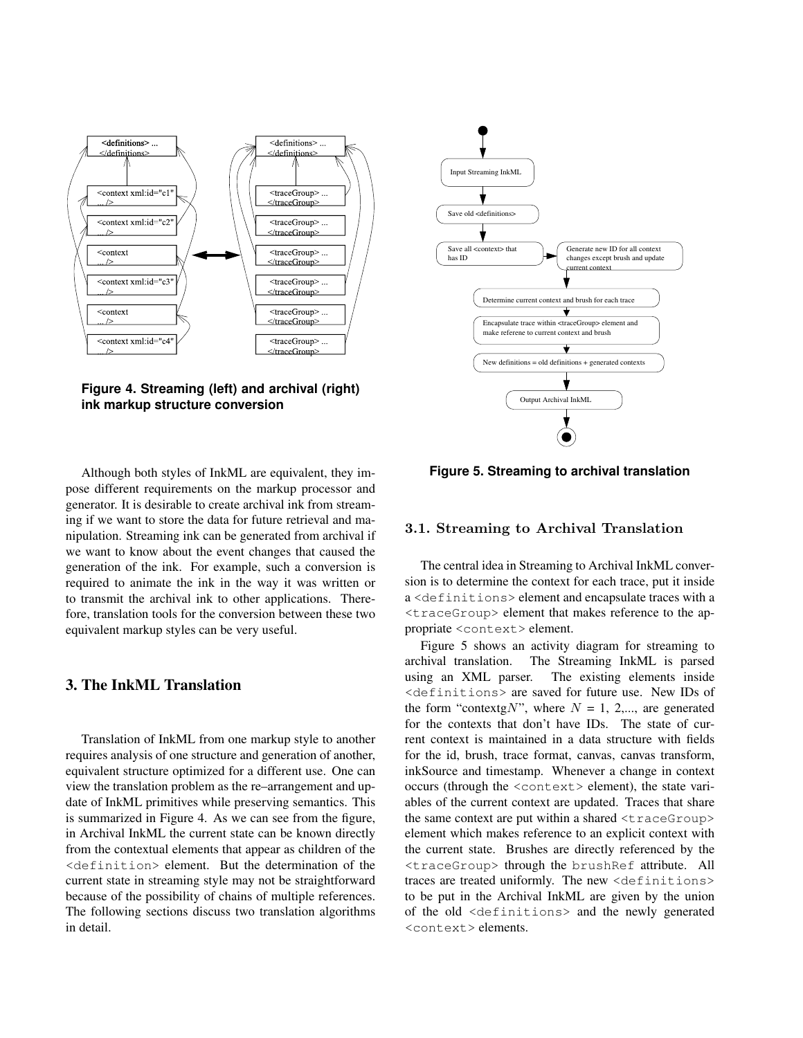

**Figure 4. Streaming (left) and archival (right) ink markup structure conversion**

Although both styles of InkML are equivalent, they impose different requirements on the markup processor and generator. It is desirable to create archival ink from streaming if we want to store the data for future retrieval and manipulation. Streaming ink can be generated from archival if we want to know about the event changes that caused the generation of the ink. For example, such a conversion is required to animate the ink in the way it was written or to transmit the archival ink to other applications. Therefore, translation tools for the conversion between these two equivalent markup styles can be very useful.

# 3. The InkML Translation

Translation of InkML from one markup style to another requires analysis of one structure and generation of another, equivalent structure optimized for a different use. One can view the translation problem as the re–arrangement and update of InkML primitives while preserving semantics. This is summarized in Figure 4. As we can see from the figure, in Archival InkML the current state can be known directly from the contextual elements that appear as children of the <definition> element. But the determination of the current state in streaming style may not be straightforward because of the possibility of chains of multiple references. The following sections discuss two translation algorithms in detail.



**Figure 5. Streaming to archival translation**

#### 3.1. Streaming to Archival Translation

The central idea in Streaming to Archival InkML conversion is to determine the context for each trace, put it inside a <definitions> element and encapsulate traces with a <traceGroup> element that makes reference to the appropriate <context> element.

Figure 5 shows an activity diagram for streaming to archival translation. The Streaming InkML is parsed using an XML parser. The existing elements inside <definitions> are saved for future use. New IDs of the form "contextgN", where  $N = 1, 2,...$ , are generated for the contexts that don't have IDs. The state of current context is maintained in a data structure with fields for the id, brush, trace format, canvas, canvas transform, inkSource and timestamp. Whenever a change in context occurs (through the <context> element), the state variables of the current context are updated. Traces that share the same context are put within a shared <traceGroup> element which makes reference to an explicit context with the current state. Brushes are directly referenced by the <traceGroup> through the brushRef attribute. All traces are treated uniformly. The new <definitions> to be put in the Archival InkML are given by the union of the old <definitions> and the newly generated <context> elements.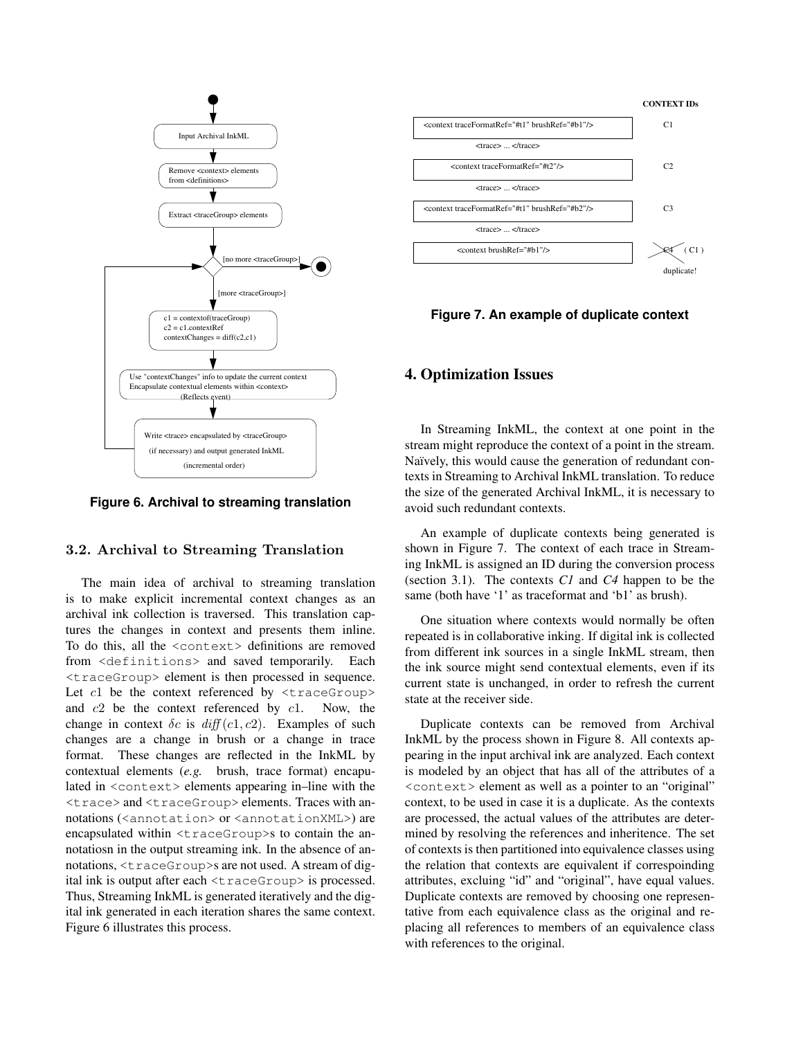

**Figure 6. Archival to streaming translation**

#### 3.2. Archival to Streaming Translation

The main idea of archival to streaming translation is to make explicit incremental context changes as an archival ink collection is traversed. This translation captures the changes in context and presents them inline. To do this, all the <context> definitions are removed from <definitions> and saved temporarily. Each <traceGroup> element is then processed in sequence. Let  $c1$  be the context referenced by  $\langle$ traceGroup> and c2 be the context referenced by c1. Now, the change in context  $\delta c$  is  $diff(c1, c2)$ . Examples of such changes are a change in brush or a change in trace format. These changes are reflected in the InkML by contextual elements (*e.g.* brush, trace format) encapulated in <context> elements appearing in–line with the <trace> and <traceGroup> elements. Traces with annotations (<annotation> or <annotationXML>) are encapsulated within <traceGroup>s to contain the annotatiosn in the output streaming ink. In the absence of annotations,  $\langle$ traceGroup>s are not used. A stream of digital ink is output after each <traceGroup> is processed. Thus, Streaming InkML is generated iteratively and the digital ink generated in each iteration shares the same context. Figure 6 illustrates this process.



**Figure 7. An example of duplicate context**

### 4. Optimization Issues

In Streaming InkML, the context at one point in the stream might reproduce the context of a point in the stream. Naïvely, this would cause the generation of redundant contexts in Streaming to Archival InkML translation. To reduce the size of the generated Archival InkML, it is necessary to avoid such redundant contexts.

An example of duplicate contexts being generated is shown in Figure 7. The context of each trace in Streaming InkML is assigned an ID during the conversion process (section 3.1). The contexts *C1* and *C4* happen to be the same (both have '1' as traceformat and 'b1' as brush).

One situation where contexts would normally be often repeated is in collaborative inking. If digital ink is collected from different ink sources in a single InkML stream, then the ink source might send contextual elements, even if its current state is unchanged, in order to refresh the current state at the receiver side.

Duplicate contexts can be removed from Archival InkML by the process shown in Figure 8. All contexts appearing in the input archival ink are analyzed. Each context is modeled by an object that has all of the attributes of a <context> element as well as a pointer to an "original" context, to be used in case it is a duplicate. As the contexts are processed, the actual values of the attributes are determined by resolving the references and inheritence. The set of contexts is then partitioned into equivalence classes using the relation that contexts are equivalent if correspoinding attributes, excluing "id" and "original", have equal values. Duplicate contexts are removed by choosing one representative from each equivalence class as the original and replacing all references to members of an equivalence class with references to the original.